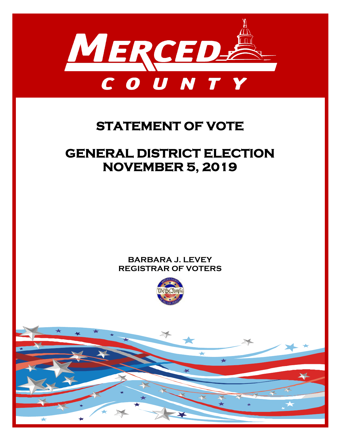

## **STATEMENT OF VOTE**

# **GENERAL DISTRICT ELECTION NOVEMBER 5, 2019**

### **BARBARA J. LEVEY REGISTRAR OF VOTERS**



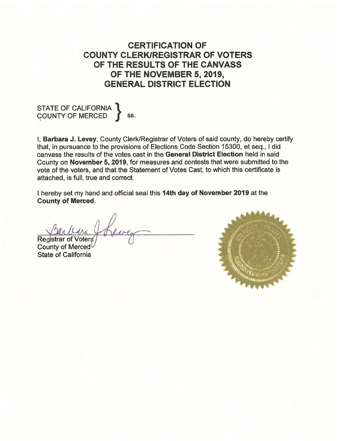**CERTIFICATION OF COUNTY CLERK/REGISTRAR OF VOTERS** OF THE RESULTS OF THE CANVASS OF THE NOVEMBER 5, 2019, **GENERAL DISTRICT ELECTION** 

STATE OF CALIFORNIA \, ss.

**I. Barbara J. Levey, County Clerk/Registrar of Voters of said county, do hereby certify** that, in pursuance to the provisions of Elections Code Section 15300, et seq., I did canvass the results of the votes cast in the General District Election held in said County on November 5, 2019, for measures and contests that were submitted to the vote of the voters, and that the Statement of Votes Cast, to which this certificate is attached, is full, true and correct.

I hereby set my hand and official seal this 14th day of November 2019 at the **County of Merced.** 

**Registrar of Voters** 

**County of Merced State of California** 

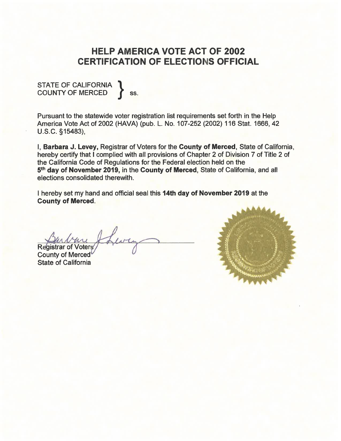### **HELP AMERICA VOTE ACT OF 2002 CERTIFICATION OF ELECTIONS OFFICIAL**

# STATE OF CALIFORNIA<br>COUNTY OF MERCED

SS.

Pursuant to the statewide voter registration list requirements set forth in the Help America Vote Act of 2002 (HAVA) (pub. L. No. 107-252 (2002) 116 Stat. 1666, 42 U.S.C. §15483),

I, Barbara J. Levey, Registrar of Voters for the County of Merced, State of California, hereby certify that I complied with all provisions of Chapter 2 of Division 7 of Title 2 of the California Code of Regulations for the Federal election held on the 5th day of November 2019, in the County of Merced, State of California, and all elections consolidated therewith.

I hereby set my hand and official seal this 14th day of November 2019 at the **County of Merced.** 

**Registrar of Voters** 

**County of Merced State of California** 

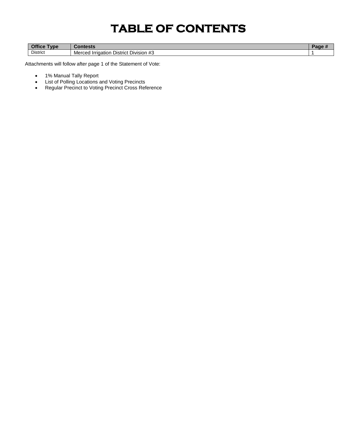# **TABLE OF CONTENTS**

| $\sim$<br>Type<br><b>OTTICE</b> | `anianin<br>Contests                                                          | au |
|---------------------------------|-------------------------------------------------------------------------------|----|
| <b>District</b>                 | $\overline{11}$<br>Merced<br>⊿ Irrigation<br>: Division<br>District '<br>ن# י |    |

Attachments will follow after page 1 of the Statement of Vote:

- 1% Manual Tally Report
- List of Polling Locations and Voting Precincts
- Regular Precinct to Voting Precinct Cross Reference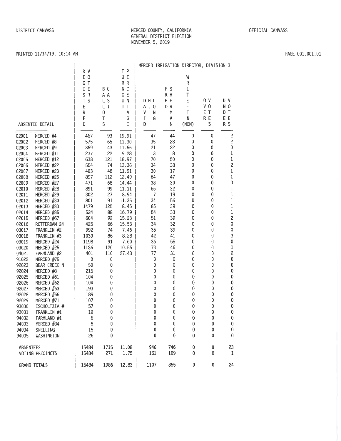#### MERCED COUNTY, CALIFORNIA GENERAL DISTRICT ELECTION NOVEMBER 5, 2019

#### PRINTED 11/14/19, 10:14 AM

#### I MERCED IRRIGATION DIRECTOR. DIVISION 3 R V T P E 0 U E W G T R R  $\mathsf{R}$ B C FS IE N<sub>C</sub>  $\rm I$ SR A A  $0 E$ R H  $\top$  $\overline{1}$  $T$  S L<sub>S</sub> UN. DHL E E  $\mathsf E$  $0<sup>0</sup>$  $U$  V  $\mathbf{I}$  $E$ L T T T A . O DR  $V<sub>0</sub>$  $N<sub>0</sub>$  $\mathbf{1}$  $\sim$  $\mathsf{V}$ D T  $\mathsf{R}$  $\Omega$  $\mathsf{A}$  $\mathsf{N}$ M  $\rm I$ E T  $\mathsf E$ T G  $\mathbf I$  $\mathsf{G}$ A  $\mathbf{N}$ R E EE ABSENTEE DETAIL  $\mathsf{D}$  $\mathcal{S}$  $E$ D. N (NON) <sub>S</sub> R S  $\overline{c}$ 02001 MERCED #4 467 93 19.91 47 44  $\mathbf{0}$  $\mathbf 0$ 35 28 02002 MERCED #8 575 65 11.30  $\mathbf 0$  $\mathbf 0$  $\overline{c}$  $21$  $22$  $\mathbf 0$ 02003 MERCED #9 369 43 11.65  $\overline{0}$  $\mathbf 0$ 9.28  $22$ 13 02004 MERCED #11 237 8  $\mathbf 0$  $\mathbf{0}$  $\mathbf{1}$ MERCED #12 18.97 70 50  $\mathbf 0$ 02005 638 121  $\mathbf 0$  $\mathbf{1}$ 02006 MERCED #22 554 74 13.36 34 38  $\mathbf 0$  $\mathbf 0$  $\overline{2}$ 02007 MERCED #23 403 48 11.91 30 17  $\mathbf 0$  $\mathbf 0$  $\mathbf{1}$ MERCED #26 897 12.49  $\mathbf{0}$ 02008 112 64 47 0  $\mathbf{1}$ MERCED #27 14.44 38 30 0  $\mathbf{0}$  $\mathbf{0}$ 02009 471 68 MERCED #28 891 99 66 32  $\mathbf{0}$ 02010  $11.11$ 0  $\mathbf{1}$ MERCED #29 302 27 8.94  $\overline{7}$ 19  $\mathbf{0}$ 02011 0  $\mathbf{1}$ 02012 MERCED #30 801 91 11.36 34 56 0  $\pmb{0}$  $\mathbf{1}$ MERCED #33 1479 125 8.45 85 39  $\mathbf 0$ 02013 0  $\mathbf{1}$ 524 16.79 54 33  $\mathbf 0$ 02014 MERCED #35 88 0  $\mathbf{1}$ 604 92 15.23  $51$ 39  $\mathbf 0$  $\overline{2}$ 02015 MERCED #67 0 ROTTERDAM 24 425 34 32  $\mathbf 0$ 02016 66 15.53 0  $\mathbf 0$ 03017 FRANKLIN #2 992 74 7.46 35 39  $\overline{0}$  $\mathbf 0$  $\mathbf 0$ 1039 8.28 42  $\mathbf 0$ 03018 FRANKLIN #3 86 41  $\overline{0}$ 3 03019 MERCED #24 1198 91 7.60 36 55  $\overline{0}$ 0  $\mathbf{0}$ 03020 MERCED #25 1136 120 10.56 73 46  $\overline{0}$  $\mathbf 0$  $\mathbf{1}$ 401 27.43 77 31  $\mathbf 0$ 04021 FARMLAND #2 110  $\mathbf 0$ 2  $\theta$  $\mathbf{0}$ 0 91022 MERCED #75  $\mathbf{0}$  $\mathbf{0}$  $\mathbf{0}$  $\mathbf{0}$ 92023 BEAR CREEK N  $50$  $\mathbf{0}$  $\mathbf{0}$  $\overline{0}$ 0  $\mathbf{0}$  $\mathbf{0}$ MERCED #3 215  $\mathbf{0}$  $\overline{0}$  $\bf{0}$ 92024  $\mathbf{0}$ 0  $\mathbf{0}$ MERCED #61 104  $\mathbf 0$  $\pmb{0}$ 0  $\pmb{0}$ 92025  $\mathbf 0$  $\mathbf 0$ MERCED #62 104  $\pmb{0}$  $\pmb{0}$ 0  $\pmb{0}$ 92026  $\mathbf 0$  $\mathbf 0$ MERCED #63 193  $\pmb{0}$  $\pmb{0}$ 0  $\mathbb O$ 92027  $\bf{0}$  $\bf{0}$ 92028 MERCED #66 189  $\mathbf{0}$  $\mathbf 0$  $\mathbf 0$ 0  $\pmb{0}$  $\mathbf 0$ MERCED #71 107  $\mathbf 0$  $\mathbf 0$  $\mathbf 0$  $\mathbf 0$  $\overline{0}$ 92029 0 ESCHOLTZIA # 57  $\mathbf 0$  $\mathbf 0$  $\bf{0}$  $\pmb{0}$  $\mathbf 0$ 93030  $\bf{0}$ FRANKLIN #1 10  $\mathbf 0$  $\pmb{0}$  $\mathbf 0$  $\pmb{0}$  $\mathbf 0$ 93031  $\mathbf 0$ 94032 FARMLAND #1 6 0 0 0 0  $\bf{0}$  $\mathbf 0$ -5  $\mathbf 0$  $\mathbf 0$ 0  $\bf{0}$  $\bf{0}$ 94033 MERCED #34 0 94034 SNELLING 15 0  $\bf{0}$  $\bf{0}$  $\mathbf 0$  $\mathbf 0$  $\bf{0}$ 94035 26  $\mathbf 0$  $\bf{0}$  $\mathbf 0$  $\mathbf 0$ WASHINGTON  $\mathbf 0$  $\bf{0}$ 15484 1715 11.08 946 746  $\pmb{0}$  $\pmb{0}$ 23 **ABSENTEES** 15484 161 109  $\pmb{0}$ VOTING PRECINCTS 271 1.75 0  $\mathbf{1}$ **GRAND TOTALS** 15484 1986  $12.83$ 1107 855 0  $\boldsymbol{0}$ 24

#### PAGE 001.001.01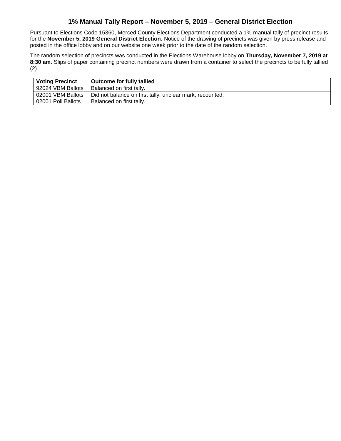### **1% Manual Tally Report – November 5, 2019 – General District Election**

Pursuant to Elections Code 15360, Merced County Elections Department conducted a 1% manual tally of precinct results for the **November 5, 2019 General District Election**. Notice of the drawing of precincts was given by press release and posted in the office lobby and on our website one week prior to the date of the random selection.

The random selection of precincts was conducted in the Elections Warehouse lobby on **Thursday, November 7, 2019 at 8:30 am**. Slips of paper containing precinct numbers were drawn from a container to select the precincts to be fully tallied (2).

| <b>Voting Precinct</b> | <b>Outcome for fully tallied</b>                         |
|------------------------|----------------------------------------------------------|
| 92024 VBM Ballots      | Balanced on first tally.                                 |
| 02001 VBM Ballots      | Did not balance on first tally, unclear mark, recounted. |
| 02001 Poll Ballots     | Balanced on first tally.                                 |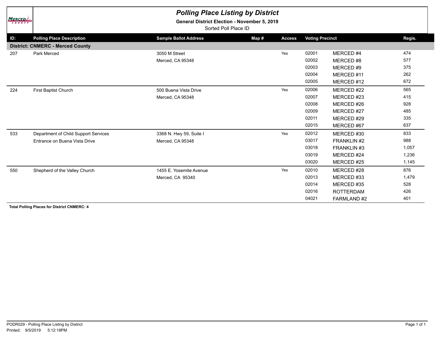| <b>MERCED</b><br><b>COUNTY</b> | <b>Polling Place Listing by District</b><br>General District Election - November 5, 2019<br>Sorted Poll Place ID |                              |       |               |                        |                  |        |  |  |  |  |
|--------------------------------|------------------------------------------------------------------------------------------------------------------|------------------------------|-------|---------------|------------------------|------------------|--------|--|--|--|--|
| ID:                            | <b>Polling Place Description</b>                                                                                 | <b>Sample Ballot Address</b> | Map # | <b>Access</b> | <b>Voting Precinct</b> |                  | Regis. |  |  |  |  |
|                                | <b>District: CNMERC - Merced County</b>                                                                          |                              |       |               |                        |                  |        |  |  |  |  |
| 207                            | Park Merced                                                                                                      | 3050 M Street                |       | Yes           | 02001                  | MERCED#4         | 474    |  |  |  |  |
|                                |                                                                                                                  | Merced, CA 95348             |       |               | 02002                  | MERCED#8         | 577    |  |  |  |  |
|                                |                                                                                                                  |                              |       |               | 02003                  | MERCED#9         | 375    |  |  |  |  |
|                                |                                                                                                                  |                              |       |               | 02004                  | MERCED#11        | 262    |  |  |  |  |
|                                |                                                                                                                  |                              |       |               | 02005                  | MERCED #12       | 672    |  |  |  |  |
| 224                            | First Baptist Church                                                                                             | 500 Buena Vista Drive        |       | Yes           | 02006                  | MERCED #22       | 565    |  |  |  |  |
|                                |                                                                                                                  | Merced, CA 95348             |       |               | 02007                  | MERCED #23       | 415    |  |  |  |  |
|                                |                                                                                                                  |                              |       |               | 02008                  | MERCED#26        | 928    |  |  |  |  |
|                                |                                                                                                                  |                              |       |               | 02009                  | MERCED#27        | 485    |  |  |  |  |
|                                |                                                                                                                  |                              |       |               | 02011                  | MERCED #29       | 335    |  |  |  |  |
|                                |                                                                                                                  |                              |       |               | 02015                  | MERCED#67        | 637    |  |  |  |  |
| 533                            | Department of Child Support Services                                                                             | 3368 N. Hwy 59, Suite I      |       | Yes           | 02012                  | MERCED#30        | 833    |  |  |  |  |
|                                | Entrance on Buena Vista Drive                                                                                    | Merced, CA 95348             |       |               | 03017                  | FRANKLIN #2      | 988    |  |  |  |  |
|                                |                                                                                                                  |                              |       |               | 03018                  | FRANKLIN #3      | 1,057  |  |  |  |  |
|                                |                                                                                                                  |                              |       |               | 03019                  | MERCED #24       | 1,236  |  |  |  |  |
|                                |                                                                                                                  |                              |       |               | 03020                  | MERCED #25       | 1,145  |  |  |  |  |
| 550                            | Shepherd of the Valley Church                                                                                    | 1455 E. Yosemite Avenue      |       | Yes           | 02010                  | MERCED#28        | 876    |  |  |  |  |
|                                |                                                                                                                  | Merced, CA 95340             |       |               | 02013                  | MERCED#33        | 1,479  |  |  |  |  |
|                                |                                                                                                                  |                              |       |               | 02014                  | MERCED#35        | 528    |  |  |  |  |
|                                |                                                                                                                  |                              |       |               | 02016                  | <b>ROTTERDAM</b> | 426    |  |  |  |  |
|                                |                                                                                                                  |                              |       |               | 04021                  | FARMLAND#2       | 401    |  |  |  |  |

**Total Polling Places for District CNMERC: 4**